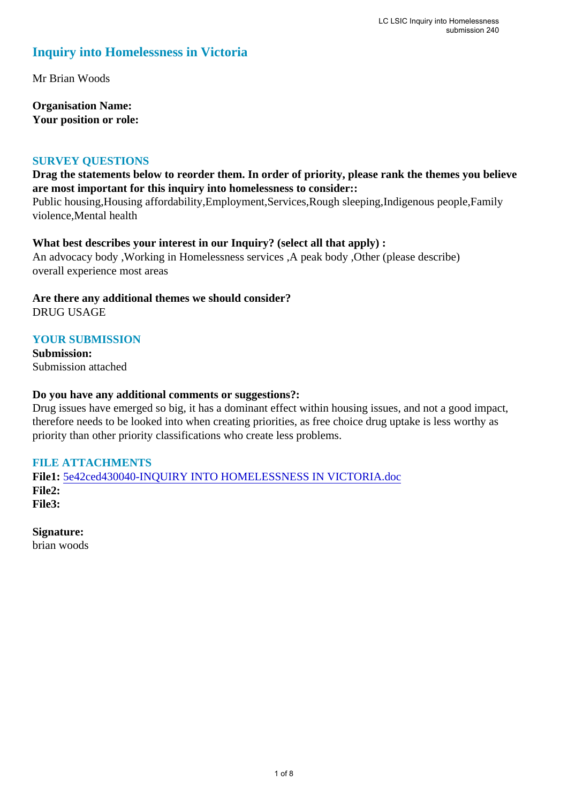# **Inquiry into Homelessness in Victoria**

Mr Brian Woods

**Organisation Name: Your position or role:** 

#### **SURVEY QUESTIONS**

### **Drag the statements below to reorder them. In order of priority, please rank the themes you believe are most important for this inquiry into homelessness to consider::**

Public housing,Housing affordability,Employment,Services,Rough sleeping,Indigenous people,Family violence,Mental health

#### **What best describes your interest in our Inquiry? (select all that apply) :**

An advocacy body ,Working in Homelessness services ,A peak body ,Other (please describe) overall experience most areas

**Are there any additional themes we should consider?** DRUG USAGE

# **YOUR SUBMISSION**

**Submission:**  Submission attached

#### **Do you have any additional comments or suggestions?:**

Drug issues have emerged so big, it has a dominant effect within housing issues, and not a good impact, therefore needs to be looked into when creating priorities, as free choice drug uptake is less worthy as priority than other priority classifications who create less problems.

## **FILE ATTACHMENTS**

**File1:** [5e42ced430040-INQUIRY INTO HOMELESSNESS IN VICTORIA.doc](https://www.parliament.vic.gov.au/component/rsform/submission-view-file/fe4cc1e875fc7e2b48dffdd6a0d339db/5ee2951556dedb0cca06092fc8dcf12f?Itemid=527) **File2: File3:** 

**Signature:** brian woods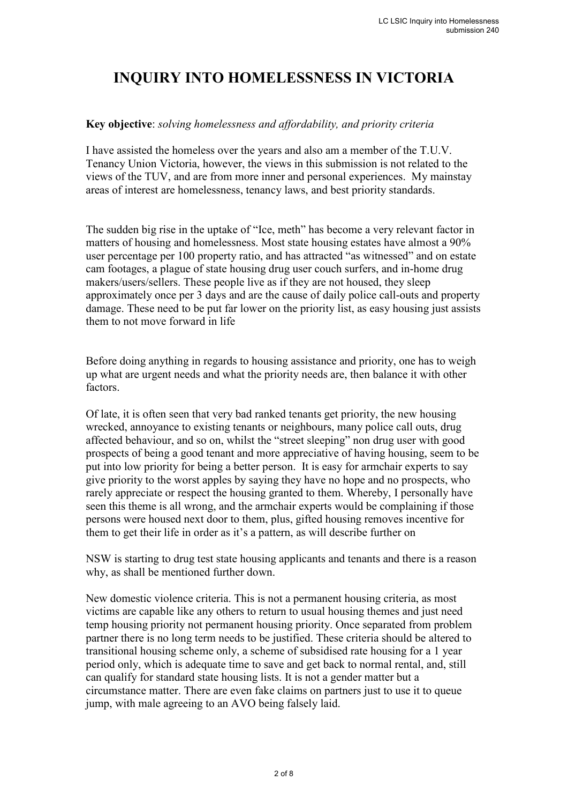# **INQUIRY INTO HOMELESSNESS IN VICTORIA**

### **Key objective**: *solving homelessness and affordability, and priority criteria*

I have assisted the homeless over the years and also am a member of the T.U.V. Tenancy Union Victoria, however, the views in this submission is not related to the views of the TUV, and are from more inner and personal experiences. My mainstay areas of interest are homelessness, tenancy laws, and best priority standards.

The sudden big rise in the uptake of "Ice, meth" has become a very relevant factor in matters of housing and homelessness. Most state housing estates have almost a 90% user percentage per 100 property ratio, and has attracted "as witnessed" and on estate cam footages, a plague of state housing drug user couch surfers, and in-home drug makers/users/sellers. These people live as if they are not housed, they sleep approximately once per 3 days and are the cause of daily police call-outs and property damage. These need to be put far lower on the priority list, as easy housing just assists them to not move forward in life

Before doing anything in regards to housing assistance and priority, one has to weigh up what are urgent needs and what the priority needs are, then balance it with other factors.

Of late, it is often seen that very bad ranked tenants get priority, the new housing wrecked, annoyance to existing tenants or neighbours, many police call outs, drug affected behaviour, and so on, whilst the "street sleeping" non drug user with good prospects of being a good tenant and more appreciative of having housing, seem to be put into low priority for being a better person. It is easy for armchair experts to say give priority to the worst apples by saying they have no hope and no prospects, who rarely appreciate or respect the housing granted to them. Whereby, I personally have seen this theme is all wrong, and the armchair experts would be complaining if those persons were housed next door to them, plus, gifted housing removes incentive for them to get their life in order as it's a pattern, as will describe further on

NSW is starting to drug test state housing applicants and tenants and there is a reason why, as shall be mentioned further down.

New domestic violence criteria. This is not a permanent housing criteria, as most victims are capable like any others to return to usual housing themes and just need temp housing priority not permanent housing priority. Once separated from problem partner there is no long term needs to be justified. These criteria should be altered to transitional housing scheme only, a scheme of subsidised rate housing for a 1 year period only, which is adequate time to save and get back to normal rental, and, still can qualify for standard state housing lists. It is not a gender matter but a circumstance matter. There are even fake claims on partners just to use it to queue jump, with male agreeing to an AVO being falsely laid.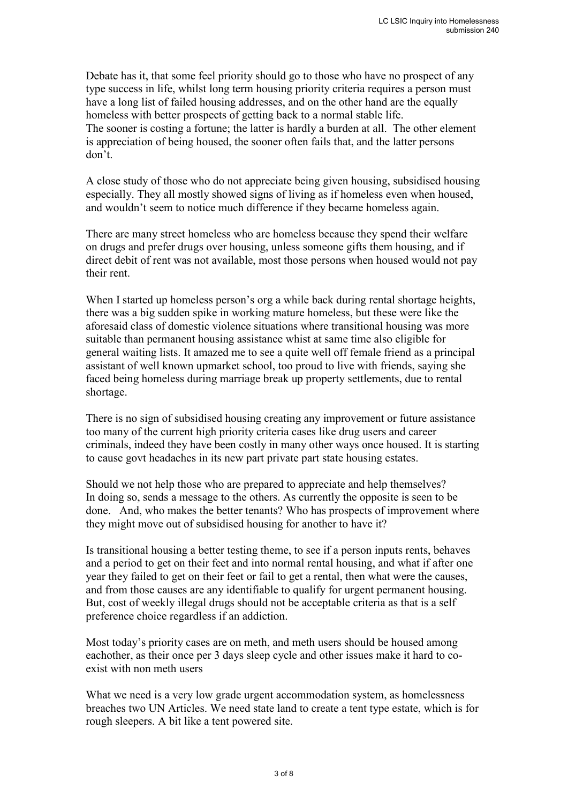Debate has it, that some feel priority should go to those who have no prospect of any type success in life, whilst long term housing priority criteria requires a person must have a long list of failed housing addresses, and on the other hand are the equally homeless with better prospects of getting back to a normal stable life. The sooner is costing a fortune; the latter is hardly a burden at all. The other element is appreciation of being housed, the sooner often fails that, and the latter persons don't.

A close study of those who do not appreciate being given housing, subsidised housing especially. They all mostly showed signs of living as if homeless even when housed, and wouldn't seem to notice much difference if they became homeless again.

There are many street homeless who are homeless because they spend their welfare on drugs and prefer drugs over housing, unless someone gifts them housing, and if direct debit of rent was not available, most those persons when housed would not pay their rent.

When I started up homeless person's org a while back during rental shortage heights, there was a big sudden spike in working mature homeless, but these were like the aforesaid class of domestic violence situations where transitional housing was more suitable than permanent housing assistance whist at same time also eligible for general waiting lists. It amazed me to see a quite well off female friend as a principal assistant of well known upmarket school, too proud to live with friends, saying she faced being homeless during marriage break up property settlements, due to rental shortage.

There is no sign of subsidised housing creating any improvement or future assistance too many of the current high priority criteria cases like drug users and career criminals, indeed they have been costly in many other ways once housed. It is starting to cause govt headaches in its new part private part state housing estates.

Should we not help those who are prepared to appreciate and help themselves? In doing so, sends a message to the others. As currently the opposite is seen to be done. And, who makes the better tenants? Who has prospects of improvement where they might move out of subsidised housing for another to have it?

Is transitional housing a better testing theme, to see if a person inputs rents, behaves and a period to get on their feet and into normal rental housing, and what if after one year they failed to get on their feet or fail to get a rental, then what were the causes, and from those causes are any identifiable to qualify for urgent permanent housing. But, cost of weekly illegal drugs should not be acceptable criteria as that is a self preference choice regardless if an addiction.

Most today's priority cases are on meth, and meth users should be housed among eachother, as their once per 3 days sleep cycle and other issues make it hard to coexist with non meth users

What we need is a very low grade urgent accommodation system, as homelessness breaches two UN Articles. We need state land to create a tent type estate, which is for rough sleepers. A bit like a tent powered site.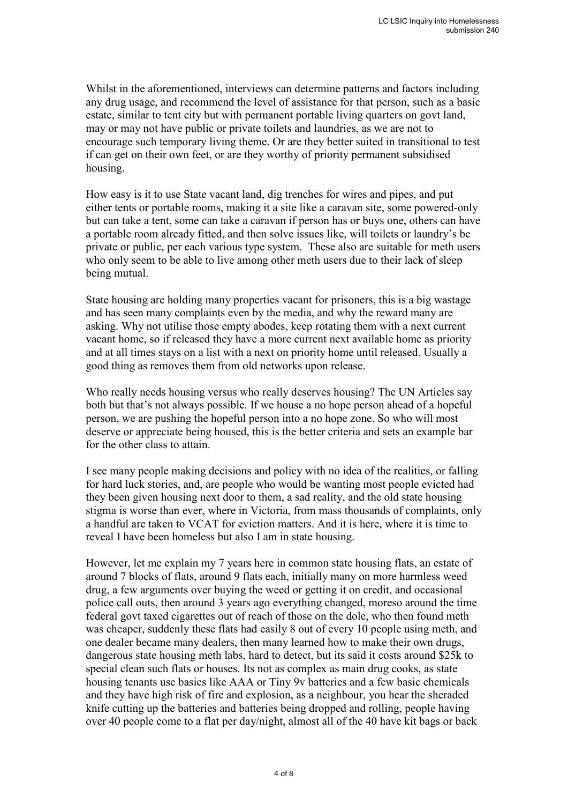Whilst in the aforementioned, interviews can determine patterns and factors including any drug usage, and recommend the level of assistance for that person, such as a basic estate, similar to tent city but with permanent portable living quarters on govt land, may or may not have public or private toilets and laundries, as we are not to encourage such temporary living theme. Or are they better suited in transitional to test if can get on their own feet, or are they worthy of priority permanent subsidised housing.

How easy is it to use State vacant land, dig trenches for wires and pipes, and put either tents or portable rooms, making it a site like a caravan site, some powered-only but can take a tent, some can take a caravan if person has or buys one, others can have a portable room already fitted, and then solve issues like, will toilets or laundry's be private or public, per each various type system. These also are suitable for meth users who only seem to be able to live among other meth users due to their lack of sleep being mutual.

State housing are holding many properties vacant for prisoners, this is a big wastage and has seen many complaints even by the media, and why the reward many are asking. Why not utilise those empty abodes, keep rotating them with a next current vacant home, so if released they have a more current next available home as priority and at all times stays on a list with a next on priority home until released. Usually a good thing as removes them from old networks upon release.

Who really needs housing versus who really deserves housing? The UN Articles say both but that's not always possible. If we house a no hope person ahead of a hopeful person, we are pushing the hopeful person into a no hope zone. So who will most deserve or appreciate being housed, this is the better criteria and sets an example bar for the other class to attain.

I see many people making decisions and policy with no idea of the realities, or falling for hard luck stories, and, are people who would be wanting most people evicted had they been given housing next door to them, a sad reality, and the old state housing stigma is worse than ever, where in Victoria, from mass thousands of complaints, only a handful are taken to VCAT for eviction matters. And it is here, where it is time to reveal I have been homeless but also I am in state housing.

However, let me explain my 7 years here in common state housing flats, an estate of around 7 blocks of flats, around 9 flats each, initially many on more harmless weed drug, a few arguments over buying the weed or getting it on credit, and occasional police call outs, then around 3 years ago everything changed, moreso around the time federal govt taxed cigarettes out of reach of those on the dole, who then found meth was cheaper, suddenly these flats had easily 8 out of every 10 people using meth, and one dealer became many dealers, then many learned how to make their own drugs, dangerous state housing meth labs, hard to detect, but its said it costs around \$25k to special clean such flats or houses. Its not as complex as main drug cooks, as state housing tenants use basics like AAA or Tiny 9v batteries and a few basic chemicals and they have high risk of fire and explosion, as a neighbour, you hear the sheraded knife cutting up the batteries and batteries being dropped and rolling, people having over 40 people come to a flat per day/night, almost all of the 40 have kit bags or back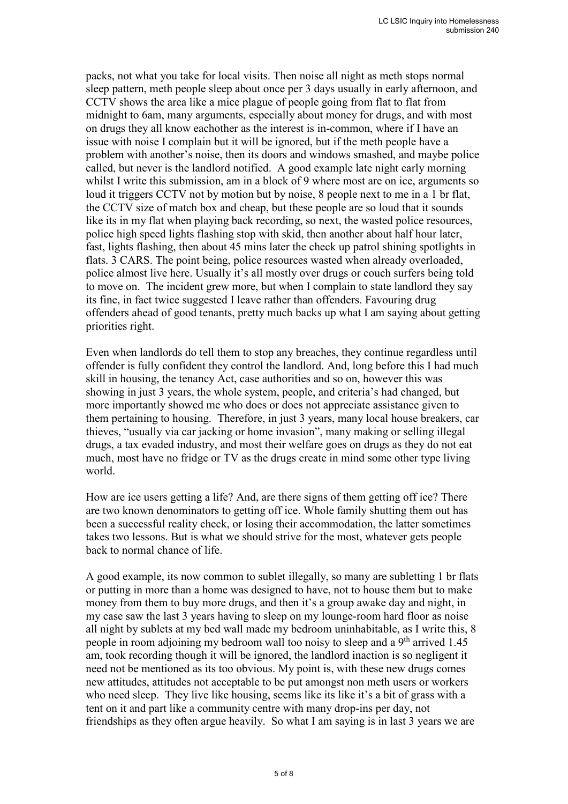packs, not what you take for local visits. Then noise all night as meth stops normal sleep pattern, meth people sleep about once per 3 days usually in early afternoon, and CCTV shows the area like a mice plague of people going from flat to flat from midnight to 6am, many arguments, especially about money for drugs, and with most on drugs they all know eachother as the interest is in-common, where if I have an issue with noise I complain but it will be ignored, but if the meth people have a problem with another's noise, then its doors and windows smashed, and maybe police called, but never is the landlord notified. A good example late night early morning whilst I write this submission, am in a block of 9 where most are on ice, arguments so loud it triggers CCTV not by motion but by noise, 8 people next to me in a 1 br flat, the CCTV size of match box and cheap, but these people are so loud that it sounds like its in my flat when playing back recording, so next, the wasted police resources, police high speed lights flashing stop with skid, then another about half hour later, fast, lights flashing, then about 45 mins later the check up patrol shining spotlights in flats. 3 CARS. The point being, police resources wasted when already overloaded, police almost live here. Usually it's all mostly over drugs or couch surfers being told to move on. The incident grew more, but when I complain to state landlord they say its fine, in fact twice suggested I leave rather than offenders. Favouring drug offenders ahead of good tenants, pretty much backs up what I am saying about getting priorities right.

Even when landlords do tell them to stop any breaches, they continue regardless until offender is fully confident they control the landlord. And, long before this I had much skill in housing, the tenancy Act, case authorities and so on, however this was showing in just 3 years, the whole system, people, and criteria's had changed, but more importantly showed me who does or does not appreciate assistance given to them pertaining to housing. Therefore, in just 3 years, many local house breakers, car thieves, "usually via car jacking or home invasion", many making or selling illegal drugs, a tax evaded industry, and most their welfare goes on drugs as they do not eat much, most have no fridge or TV as the drugs create in mind some other type living world.

How are ice users getting a life? And, are there signs of them getting off ice? There are two known denominators to getting off ice. Whole family shutting them out has been a successful reality check, or losing their accommodation, the latter sometimes takes two lessons. But is what we should strive for the most, whatever gets people back to normal chance of life.

A good example, its now common to sublet illegally, so many are subletting 1 br flats or putting in more than a home was designed to have, not to house them but to make money from them to buy more drugs, and then it's a group awake day and night, in my case saw the last 3 years having to sleep on my lounge-room hard floor as noise all night by sublets at my bed wall made my bedroom uninhabitable, as I write this, 8 people in room adjoining my bedroom wall too noisy to sleep and a 9<sup>th</sup> arrived 1.45 am, took recording though it will be ignored, the landlord inaction is so negligent it need not be mentioned as its too obvious. My point is, with these new drugs comes new attitudes, attitudes not acceptable to be put amongst non meth users or workers who need sleep. They live like housing, seems like its like it's a bit of grass with a tent on it and part like a community centre with many drop-ins per day, not friendships as they often argue heavily. So what I am saying is in last 3 years we are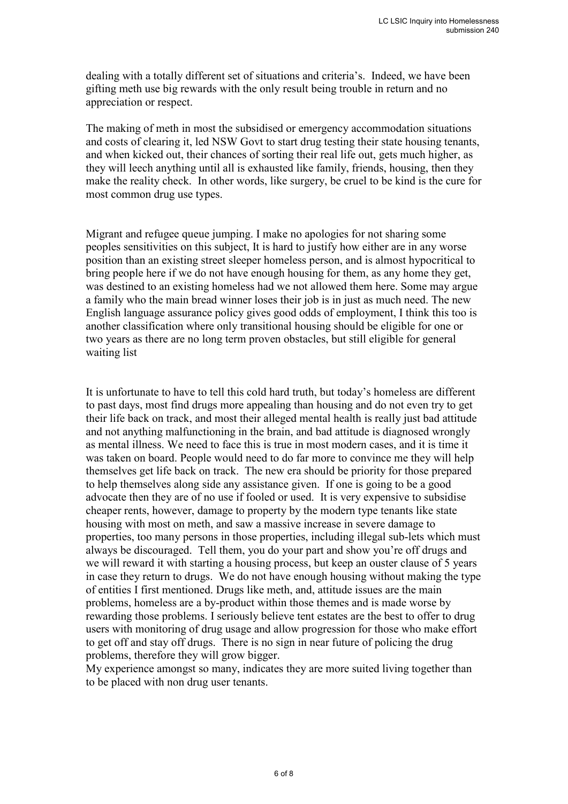dealing with a totally different set of situations and criteria's. Indeed, we have been gifting meth use big rewards with the only result being trouble in return and no appreciation or respect.

The making of meth in most the subsidised or emergency accommodation situations and costs of clearing it, led NSW Govt to start drug testing their state housing tenants, and when kicked out, their chances of sorting their real life out, gets much higher, as they will leech anything until all is exhausted like family, friends, housing, then they make the reality check. In other words, like surgery, be cruel to be kind is the cure for most common drug use types.

Migrant and refugee queue jumping. I make no apologies for not sharing some peoples sensitivities on this subject, It is hard to justify how either are in any worse position than an existing street sleeper homeless person, and is almost hypocritical to bring people here if we do not have enough housing for them, as any home they get, was destined to an existing homeless had we not allowed them here. Some may argue a family who the main bread winner loses their job is in just as much need. The new English language assurance policy gives good odds of employment, I think this too is another classification where only transitional housing should be eligible for one or two years as there are no long term proven obstacles, but still eligible for general waiting list

It is unfortunate to have to tell this cold hard truth, but today's homeless are different to past days, most find drugs more appealing than housing and do not even try to get their life back on track, and most their alleged mental health is really just bad attitude and not anything malfunctioning in the brain, and bad attitude is diagnosed wrongly as mental illness. We need to face this is true in most modern cases, and it is time it was taken on board. People would need to do far more to convince me they will help themselves get life back on track. The new era should be priority for those prepared to help themselves along side any assistance given. If one is going to be a good advocate then they are of no use if fooled or used. It is very expensive to subsidise cheaper rents, however, damage to property by the modern type tenants like state housing with most on meth, and saw a massive increase in severe damage to properties, too many persons in those properties, including illegal sub-lets which must always be discouraged. Tell them, you do your part and show you're off drugs and we will reward it with starting a housing process, but keep an ouster clause of 5 years in case they return to drugs. We do not have enough housing without making the type of entities I first mentioned. Drugs like meth, and, attitude issues are the main problems, homeless are a by-product within those themes and is made worse by rewarding those problems. I seriously believe tent estates are the best to offer to drug users with monitoring of drug usage and allow progression for those who make effort to get off and stay off drugs. There is no sign in near future of policing the drug problems, therefore they will grow bigger.

My experience amongst so many, indicates they are more suited living together than to be placed with non drug user tenants.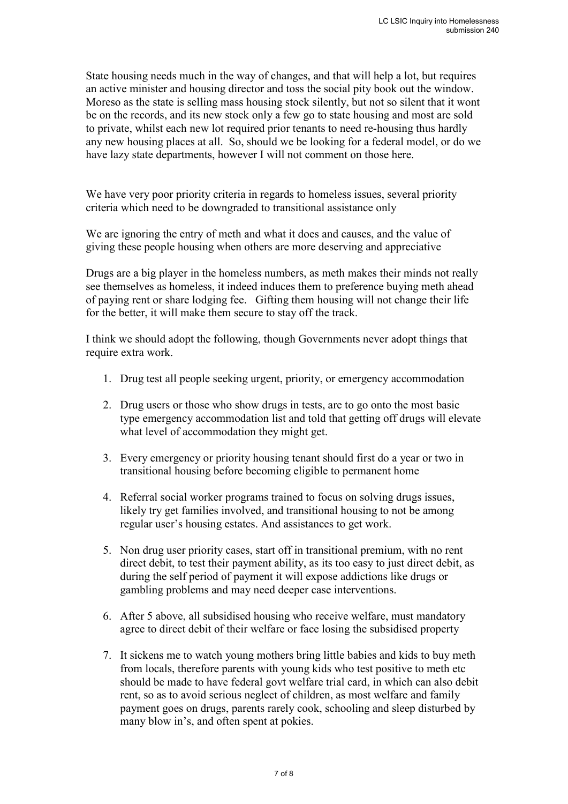State housing needs much in the way of changes, and that will help a lot, but requires an active minister and housing director and toss the social pity book out the window. Moreso as the state is selling mass housing stock silently, but not so silent that it wont be on the records, and its new stock only a few go to state housing and most are sold to private, whilst each new lot required prior tenants to need re-housing thus hardly any new housing places at all. So, should we be looking for a federal model, or do we have lazy state departments, however I will not comment on those here.

We have very poor priority criteria in regards to homeless issues, several priority criteria which need to be downgraded to transitional assistance only

We are ignoring the entry of meth and what it does and causes, and the value of giving these people housing when others are more deserving and appreciative

Drugs are a big player in the homeless numbers, as meth makes their minds not really see themselves as homeless, it indeed induces them to preference buying meth ahead of paying rent or share lodging fee. Gifting them housing will not change their life for the better, it will make them secure to stay off the track.

I think we should adopt the following, though Governments never adopt things that require extra work.

- 1. Drug test all people seeking urgent, priority, or emergency accommodation
- 2. Drug users or those who show drugs in tests, are to go onto the most basic type emergency accommodation list and told that getting off drugs will elevate what level of accommodation they might get.
- 3. Every emergency or priority housing tenant should first do a year or two in transitional housing before becoming eligible to permanent home
- 4. Referral social worker programs trained to focus on solving drugs issues, likely try get families involved, and transitional housing to not be among regular user's housing estates. And assistances to get work.
- 5. Non drug user priority cases, start off in transitional premium, with no rent direct debit, to test their payment ability, as its too easy to just direct debit, as during the self period of payment it will expose addictions like drugs or gambling problems and may need deeper case interventions.
- 6. After 5 above, all subsidised housing who receive welfare, must mandatory agree to direct debit of their welfare or face losing the subsidised property
- 7. It sickens me to watch young mothers bring little babies and kids to buy meth from locals, therefore parents with young kids who test positive to meth etc should be made to have federal govt welfare trial card, in which can also debit rent, so as to avoid serious neglect of children, as most welfare and family payment goes on drugs, parents rarely cook, schooling and sleep disturbed by many blow in's, and often spent at pokies.